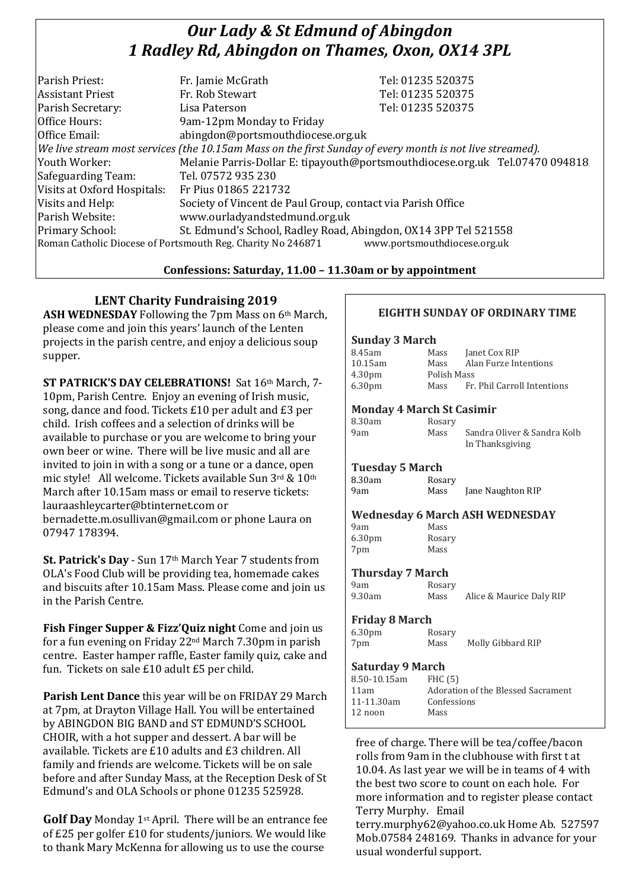# *Our Lady & St Edmund of Abingdon 1 Radley Rd, Abingdon on Thames, Oxon, OX14 3PL*

| Parish Priest:                                                                              | Fr. Jamie McGrath                                                                                        | Tel: 01235 520375                                                            |  |
|---------------------------------------------------------------------------------------------|----------------------------------------------------------------------------------------------------------|------------------------------------------------------------------------------|--|
| <b>Assistant Priest</b>                                                                     | Fr. Rob Stewart                                                                                          | Tel: 01235 520375                                                            |  |
| Parish Secretary:                                                                           | Lisa Paterson                                                                                            | Tel: 01235 520375                                                            |  |
| Office Hours:                                                                               | 9am-12pm Monday to Friday                                                                                |                                                                              |  |
| Office Email:                                                                               | abingdon@portsmouthdiocese.org.uk                                                                        |                                                                              |  |
|                                                                                             | We live stream most services (the 10.15am Mass on the first Sunday of every month is not live streamed). |                                                                              |  |
| Youth Worker:                                                                               |                                                                                                          | Melanie Parris-Dollar E: tipayouth@portsmouthdiocese.org.uk Tel.07470 094818 |  |
| Safeguarding Team:                                                                          | Tel. 07572 935 230                                                                                       |                                                                              |  |
| Visits at Oxford Hospitals:                                                                 | Fr Pius 01865 221732                                                                                     |                                                                              |  |
| Visits and Help:                                                                            | Society of Vincent de Paul Group, contact via Parish Office                                              |                                                                              |  |
| Parish Website:                                                                             | www.ourladyandstedmund.org.uk                                                                            |                                                                              |  |
| Primary School:                                                                             | St. Edmund's School, Radley Road, Abingdon, OX14 3PP Tel 521558                                          |                                                                              |  |
| www.portsmouthdiocese.org.uk<br>Roman Catholic Diocese of Portsmouth Reg. Charity No 246871 |                                                                                                          |                                                                              |  |
|                                                                                             |                                                                                                          |                                                                              |  |

#### **Confessions: Saturday, 11.00 – 11.30am or by appointment**

# **LENT Charity Fundraising 2019**

**ASH WEDNESDAY** Following the 7pm Mass on 6th March, please come and join this years' launch of the Lenten projects in the parish centre, and enjoy a delicious soup supper.

**ST PATRICK'S DAY CELEBRATIONS!** Sat 16th March, 7- 10pm, Parish Centre. Enjoy an evening of Irish music, song, dance and food. Tickets £10 per adult and £3 per child. Irish coffees and a selection of drinks will be available to purchase or you are welcome to bring your own beer or wine. There will be live music and all are invited to join in with a song or a tune or a dance, open mic style! All welcome. Tickets available Sun 3rd & 10th March after 10.15am mass or email to reserve tickets: lauraashleycarter@btinternet.com or bernadette.m.osullivan@gmail.com or phone Laura on 07947 178394.

**St. Patrick's Day** - Sun 17th March Year 7 students from OLA's Food Club will be providing tea, homemade cakes and biscuits after 10.15am Mass. Please come and join us in the Parish Centre.

**Fish Finger Supper & Fizz'Quiz night** Come and join us for a fun evening on Friday 22nd March 7.30pm in parish centre. Easter hamper raffle, Easter family quiz, cake and fun. Tickets on sale £10 adult £5 per child.

**Parish Lent Dance** this year will be on FRIDAY 29 March at 7pm, at Drayton Village Hall. You will be entertained by ABINGDON BIG BAND and ST EDMUND'S SCHOOL CHOIR, with a hot supper and dessert. A bar will be available. Tickets are £10 adults and £3 children. All family and friends are welcome. Tickets will be on sale before and after Sunday Mass, at the Reception Desk of St Edmund's and OLA Schools or phone 01235 525928.

**Golf Day** Monday 1st April. There will be an entrance fee of £25 per golfer £10 for students/juniors. We would like to thank Mary McKenna for allowing us to use the course

#### **EIGHTH SUNDAY OF ORDINARY TIME**

#### **Sunday 3 March**

| <b>DUMMY O PRIL CH</b>           |             |                                                |  |
|----------------------------------|-------------|------------------------------------------------|--|
| 8.45am                           |             | Mass Janet Cox RIP                             |  |
| 10.15am                          |             | Mass Alan Furze Intentions                     |  |
| 4.30 <sub>pm</sub>               | Polish Mass |                                                |  |
| 6.30 <sub>pm</sub>               | Mass        | Fr. Phil Carroll Intentions                    |  |
| <b>Monday 4 March St Casimir</b> |             |                                                |  |
| 8.30am                           | Rosary      |                                                |  |
| 9am                              | Mass        | Sandra Oliver & Sandra Kolb<br>In Thanksgiving |  |
| <b>Tuesday 5 March</b>           |             |                                                |  |
| 8.30am                           | Rosary      |                                                |  |
| 9am                              |             | Mass Jane Naughton RIP                         |  |
|                                  |             | <b>Wednesday 6 March ASH WEDNESDAY</b>         |  |
| 9am                              | Mass        |                                                |  |
| 6.30 <sub>pm</sub>               | Rosary      |                                                |  |
| 7pm                              | Mass        |                                                |  |
| <b>Thursday 7 March</b>          |             |                                                |  |
| 9am                              | Rosary      |                                                |  |
| 9.30am                           | Mass        | Alice & Maurice Daly RIP                       |  |
| <b>Friday 8 March</b>            |             |                                                |  |
| 6.30 <sub>pm</sub>               | Rosary      |                                                |  |
| 7pm                              | Mass        | Molly Gibbard RIP                              |  |
| <b>Saturday 9 March</b>          |             |                                                |  |
| $850-1015$ am FHC(5)             |             |                                                |  |

| 8.50-10.15am | FHC(5)                             |
|--------------|------------------------------------|
| 11am         | Adoration of the Blessed Sacrament |
| 11-11.30am   | Confessions                        |
| 12 noon      | Mass                               |
|              |                                    |

free of charge. There will be tea/coffee/bacon rolls from 9am in the clubhouse with first t at 10.04. As last year we will be in teams of 4 with the best two score to count on each hole. For more information and to register please contact Terry Murphy. Email

terry.murphy62@yahoo.co.uk Home Ab. 527597 Mob.07584 248169. Thanks in advance for your usual wonderful support.